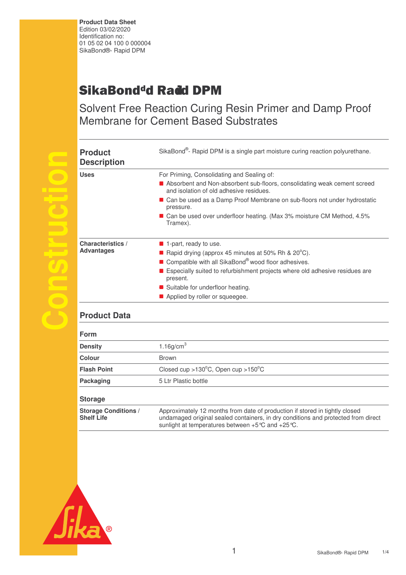**Product Data Sheet**  Edition 03/02/2020 Identification no: 01 05 02 04 100 0 000004 SikaBond®- Rapid DPM

## SikaBond<sup>d</sup>d Ra**d**d DPM

Solvent Free Reaction Curing Resin Primer and Damp Proof Membrane for Cement Based Substrates

| <b>Product</b><br><b>Description</b>          | SikaBond <sup>®</sup> - Rapid DPM is a single part moisture curing reaction polyurethane.                                                                                                                                                                                                                                                                          |
|-----------------------------------------------|--------------------------------------------------------------------------------------------------------------------------------------------------------------------------------------------------------------------------------------------------------------------------------------------------------------------------------------------------------------------|
| <b>Uses</b>                                   | For Priming, Consolidating and Sealing of:<br>Absorbent and Non-absorbent sub-floors, consolidating weak cement screed<br>and isolation of old adhesive residues.<br>■ Can be used as a Damp Proof Membrane on sub-floors not under hydrostatic<br>pressure.<br>■ Can be used over underfloor heating. (Max 3% moisture CM Method, 4.5%<br>Tramex).                |
| <b>Characteristics /</b><br><b>Advantages</b> | $\blacksquare$ 1-part, ready to use.<br><b>E</b> Rapid drying (approx 45 minutes at 50% Rh & $20^{\circ}$ C).<br>Compatible with all SikaBond <sup>®</sup> wood floor adhesives.<br><b>Example 1</b> Especially suited to refurbishment projects where old adhesive residues are<br>present.<br>Suitable for underfloor heating.<br>Applied by roller or squeegee. |

## **Product Data**

**Construction**

| <b>Form</b>        |                                                                                                                |  |
|--------------------|----------------------------------------------------------------------------------------------------------------|--|
| <b>Density</b>     | 1.16g/cm $3$                                                                                                   |  |
| Colour             | <b>Brown</b>                                                                                                   |  |
| <b>Flash Point</b> | Closed cup > $130^{\circ}$ C, Open cup > $150^{\circ}$ C                                                       |  |
| Packaging          | 5 Ltr Plastic bottle                                                                                           |  |
| <b>Storage</b>     |                                                                                                                |  |
|                    | A second state of the state of the second state of second second second to state the state of the state of the |  |



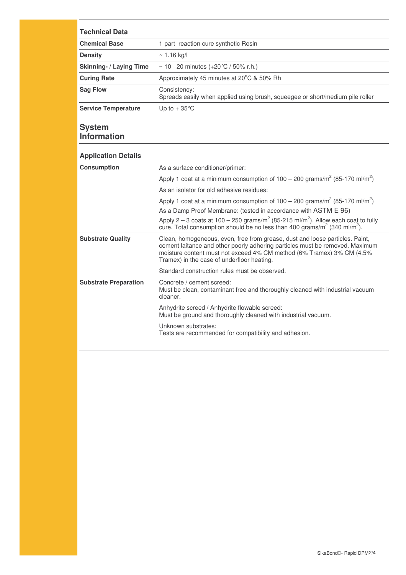| <b>Technical Data</b>          |                                                                                               |  |  |
|--------------------------------|-----------------------------------------------------------------------------------------------|--|--|
| <b>Chemical Base</b>           | 1-part reaction cure synthetic Resin                                                          |  |  |
| <b>Density</b>                 | $\sim$ 1.16 kg/l                                                                              |  |  |
| <b>Skinning- / Laying Time</b> | ~ 10 - 20 minutes $(+20\degree C / 50\% \text{ r.h.})$                                        |  |  |
| <b>Curing Rate</b>             | Approximately 45 minutes at 20°C & 50% Rh                                                     |  |  |
| <b>Sag Flow</b>                | Consistency:<br>Spreads easily when applied using brush, squeegee or short/medium pile roller |  |  |
| <b>Service Temperature</b>     | Up to $+35^{\circ}$ C                                                                         |  |  |

## **System Information**

| <b>Application Details</b>   |                                                                                                                                                                                                                                                                                     |  |
|------------------------------|-------------------------------------------------------------------------------------------------------------------------------------------------------------------------------------------------------------------------------------------------------------------------------------|--|
| <b>Consumption</b>           | As a surface conditioner/primer:                                                                                                                                                                                                                                                    |  |
|                              | Apply 1 coat at a minimum consumption of $100 - 200$ grams/m <sup>2</sup> (85-170 ml/m <sup>2</sup> )                                                                                                                                                                               |  |
|                              | As an isolator for old adhesive residues:                                                                                                                                                                                                                                           |  |
|                              | Apply 1 coat at a minimum consumption of $100 - 200$ grams/m <sup>2</sup> (85-170 ml/m <sup>2</sup> )                                                                                                                                                                               |  |
|                              | As a Damp Proof Membrane: (tested in accordance with ASTM E 96)                                                                                                                                                                                                                     |  |
|                              | Apply 2 – 3 coats at 100 – 250 grams/ $m^2$ (85-215 ml/m <sup>2</sup> ). Allow each coat to fully<br>cure. Total consumption should be no less than 400 grams/ $m^2$ (340 ml/m <sup>2</sup> ).                                                                                      |  |
| <b>Substrate Quality</b>     | Clean, homogeneous, even, free from grease, dust and loose particles. Paint,<br>cement laitance and other poorly adhering particles must be removed. Maximum<br>moisture content must not exceed 4% CM method (6% Tramex) 3% CM (4.5%<br>Tramex) in the case of underfloor heating. |  |
|                              | Standard construction rules must be observed.                                                                                                                                                                                                                                       |  |
| <b>Substrate Preparation</b> | Concrete / cement screed:<br>Must be clean, contaminant free and thoroughly cleaned with industrial vacuum<br>cleaner.                                                                                                                                                              |  |
|                              | Anhydrite screed / Anhydrite flowable screed:<br>Must be ground and thoroughly cleaned with industrial vacuum.                                                                                                                                                                      |  |
|                              | Unknown substrates:<br>Tests are recommended for compatibility and adhesion.                                                                                                                                                                                                        |  |
|                              |                                                                                                                                                                                                                                                                                     |  |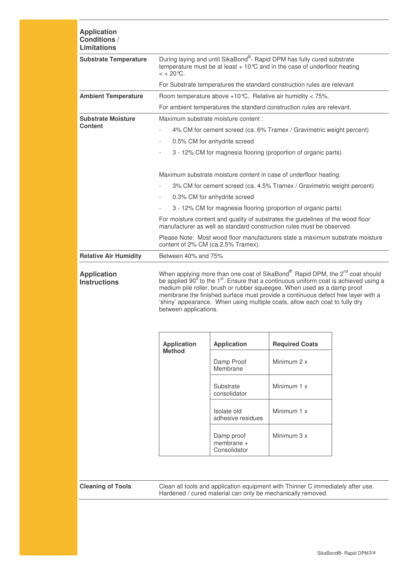| <b>Application</b><br><b>Conditions /</b><br><b>Limitations</b> |                                                                                                                                                                                                                                                                                                                                                                                                                                                                                  |                                            |                                                                                                                                                |  |  |  |
|-----------------------------------------------------------------|----------------------------------------------------------------------------------------------------------------------------------------------------------------------------------------------------------------------------------------------------------------------------------------------------------------------------------------------------------------------------------------------------------------------------------------------------------------------------------|--------------------------------------------|------------------------------------------------------------------------------------------------------------------------------------------------|--|--|--|
| <b>Substrate Temperature</b>                                    | During laying and until SikaBond®- Rapid DPM has fully cured substrate<br>temperature must be at least $+10^{\circ}$ C and in the case of underfloor heating<br>$< +20^{\circ}C$ .                                                                                                                                                                                                                                                                                               |                                            |                                                                                                                                                |  |  |  |
|                                                                 |                                                                                                                                                                                                                                                                                                                                                                                                                                                                                  |                                            | For Substrate temperatures the standard construction rules are relevant                                                                        |  |  |  |
| <b>Ambient Temperature</b>                                      | Room temperature above $+10^{\circ}$ C. Relative air humidity < 75%.                                                                                                                                                                                                                                                                                                                                                                                                             |                                            |                                                                                                                                                |  |  |  |
|                                                                 | For ambient temperatures the standard construction rules are relevant.                                                                                                                                                                                                                                                                                                                                                                                                           |                                            |                                                                                                                                                |  |  |  |
| <b>Substrate Moisture</b>                                       | Maximum substrate moisture content :                                                                                                                                                                                                                                                                                                                                                                                                                                             |                                            |                                                                                                                                                |  |  |  |
| <b>Content</b>                                                  | 4% CM for cement screed (ca. 6% Tramex / Gravimetric weight percent)                                                                                                                                                                                                                                                                                                                                                                                                             |                                            |                                                                                                                                                |  |  |  |
|                                                                 | 0.5% CM for anhydrite screed<br>$\overline{\phantom{a}}$                                                                                                                                                                                                                                                                                                                                                                                                                         |                                            |                                                                                                                                                |  |  |  |
|                                                                 | $\overline{\phantom{a}}$                                                                                                                                                                                                                                                                                                                                                                                                                                                         |                                            | 3 - 12% CM for magnesia flooring (proportion of organic parts)                                                                                 |  |  |  |
|                                                                 |                                                                                                                                                                                                                                                                                                                                                                                                                                                                                  |                                            | Maximum substrate moisture content in case of underfloor heating:                                                                              |  |  |  |
|                                                                 |                                                                                                                                                                                                                                                                                                                                                                                                                                                                                  |                                            | 3% CM for cement screed (ca. 4.5% Tramex / Gravimetric weight percent)                                                                         |  |  |  |
|                                                                 | $\overline{\phantom{a}}$                                                                                                                                                                                                                                                                                                                                                                                                                                                         | 0.3% CM for anhydrite screed               |                                                                                                                                                |  |  |  |
|                                                                 |                                                                                                                                                                                                                                                                                                                                                                                                                                                                                  |                                            | 3 - 12% CM for magnesia flooring (proportion of organic parts)                                                                                 |  |  |  |
|                                                                 | For moisture content and quality of substrates the guidelines of the wood floor<br>manufacturer as well as standard construction rules must be observed.                                                                                                                                                                                                                                                                                                                         |                                            |                                                                                                                                                |  |  |  |
|                                                                 | Please Note: Most wood floor manufacturers state a maximum substrate moisture<br>content of 2% CM (ca.2.5% Tramex).                                                                                                                                                                                                                                                                                                                                                              |                                            |                                                                                                                                                |  |  |  |
| <b>Relative Air Humidity</b>                                    | Between 40% and 75%                                                                                                                                                                                                                                                                                                                                                                                                                                                              |                                            |                                                                                                                                                |  |  |  |
| <b>Application</b><br><b>Instructions</b>                       | When applying more than one coat of SikaBond® Rapid DPM, the 2 <sup>nd</sup> coat should<br>be applied 90 <sup>°</sup> to the 1 <sup>st</sup> . Ensure that a continuous uniform coat is achieved using a<br>medium pile roller, brush or rubber squeegee. When used as a damp proof<br>membrane the finished surface must provide a continuous defect free layer with a<br>'shiny' appearance. When using multiple coats, allow each coat to fully dry<br>between applications. |                                            |                                                                                                                                                |  |  |  |
|                                                                 | <b>Application</b><br><b>Method</b>                                                                                                                                                                                                                                                                                                                                                                                                                                              | <b>Application</b>                         | <b>Required Coats</b>                                                                                                                          |  |  |  |
|                                                                 |                                                                                                                                                                                                                                                                                                                                                                                                                                                                                  | Damp Proof<br>Membrane                     | Minimum 2 x                                                                                                                                    |  |  |  |
|                                                                 |                                                                                                                                                                                                                                                                                                                                                                                                                                                                                  | Substrate<br>consolidator                  | Minimum 1 x                                                                                                                                    |  |  |  |
|                                                                 |                                                                                                                                                                                                                                                                                                                                                                                                                                                                                  | Isolate old<br>adhesive residues           | Minimum 1 x                                                                                                                                    |  |  |  |
|                                                                 |                                                                                                                                                                                                                                                                                                                                                                                                                                                                                  | Damp proof<br>membrane $+$<br>Consolidator | Minimum 3 x                                                                                                                                    |  |  |  |
|                                                                 |                                                                                                                                                                                                                                                                                                                                                                                                                                                                                  |                                            |                                                                                                                                                |  |  |  |
| <b>Cleaning of Tools</b>                                        |                                                                                                                                                                                                                                                                                                                                                                                                                                                                                  |                                            | Clean all tools and application equipment with Thinner C immediately after use.<br>Hardened / cured material can only be mechanically removed. |  |  |  |